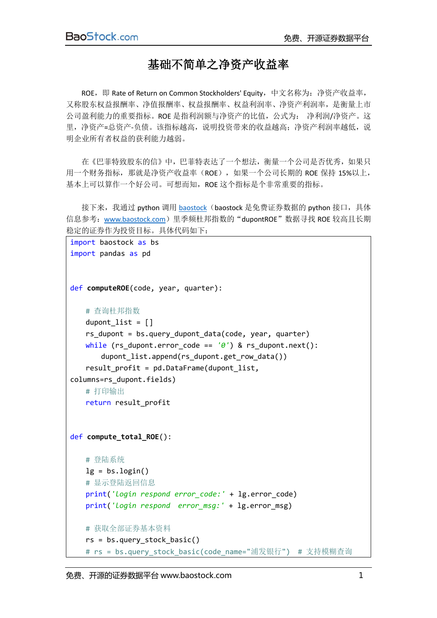## 基础不简单之净资产收益率

ROE, 即 Rate of Return on Common Stockholders' Equity, 中文名称为: 净资产收益率, 又称股东权益报酬率、净值报酬率、权益报酬率、权益利润率、净资产利润率,是衡量上市 公司盈利能力的重要指标。ROE 是指利润额与净资产的比值,公式为: 净利润/净资产。这 里,净资产=总资产-负债。该指标越高,说明投资带来的收益越高;净资产利润率越低,说 明企业所有者权益的获利能力越弱。

在《巴菲特致股东的信》中,巴菲特表达了一个想法, 衡量一个公司是否优秀, 如果只 用一个财务指标,那就是净资产收益率(ROE),如果一个公司长期的 ROE 保持 15%以上, 基本上可以算作一个好公司。可想而知,ROE 这个指标是个非常重要的指标。

接下来,我通过 python 调用 [baostock](http://www.baostock.com/) (baostock 是免费证券数据的 python 接口, 具体 信息参考: [www.baostock.com](http://www.baostock.com/))里季频杜邦指数的"dupontROE"数据寻找 ROE 较高且长期 稳定的证券作为投资目标。具体代码如下:

```
import baostock as bs
import pandas as pd
def computeROE(code, year, quarter):
    # 查询杜邦指数
   dupont list = []rs dupont = bs.query dupont data(code, year, quarter)
   while (rs dupont.error code == '0') & rs dupont.next():
        dupont_list.append(rs_dupont.get_row_data())
   result profit = pd.DataFrame(dupont list,columns=rs_dupont.fields)
    # 打印输出
    return result_profit
def compute_total_ROE():
    # 登陆系统
   lg = bs.login() # 显示登陆返回信息
    print('login respond error_code:' + lg.error_code)
    print('login respond error_msg:' + lg.error_msg)
    # 获取全部证券基本资料
    rs = bs.query_stock_basic()
   # rs = bs.query stock basic(code name="浦发银行") # 支持模糊查询
```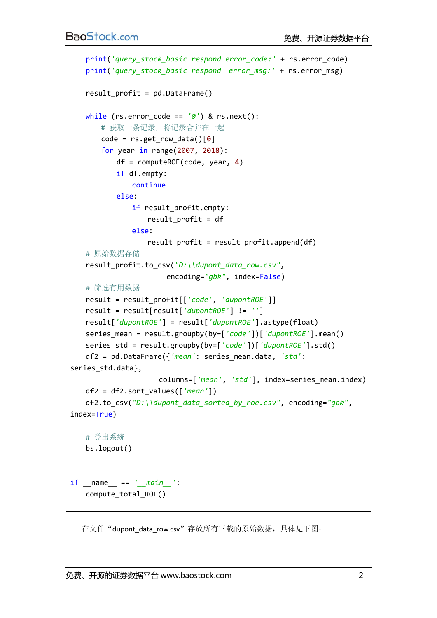```
 print('query_stock_basic respond error_code:' + rs.error_code)
    print('query_stock_basic respond error_msg:' + rs.error_msg)
   result profit = pd.DataFrame() while (rs.error_code == '0') & rs.next():
        # 获取一条记录,将记录合并在一起
       code = rs.get_row_data()[0] for year in range(2007, 2018):
            df = computeROE(code, year, 4)
            if df.empty:
               continue
           else:
              if result profit.empty:
                  result profit = df else:
                   result_profit = result_profit.append(df)
    # 原始数据存储
    result_profit.to_csv("D:\\dupont_data_row.csv",
                        encoding="gbk", index=False)
    # 筛选有用数据
    result = result_profit[['code', 'dupontROE']]
    result = result[result['dupontROE'] != '']
    result['dupontROE'] = result['dupontROE'].astype(float)
    series_mean = result.groupby(by=['code'])['dupontROE'].mean()
    series_std = result.groupby(by=['code'])['dupontROE'].std()
    df2 = pd.DataFrame({'mean': series_mean.data, 'std': 
series_std.data},
                      columns=['mean', 'std'], index=series_mean.index)
    df2 = df2.sort_values(['mean'])
    df2.to_csv("D:\\dupont_data_sorted_by_roe.csv", encoding="gbk", 
index=True)
    # 登出系统
    bs.logout()
if __name__ == '__main__':
    compute_total_ROE()
```
在文件"dupont data row.csv"存放所有下载的原始数据,具体见下图: